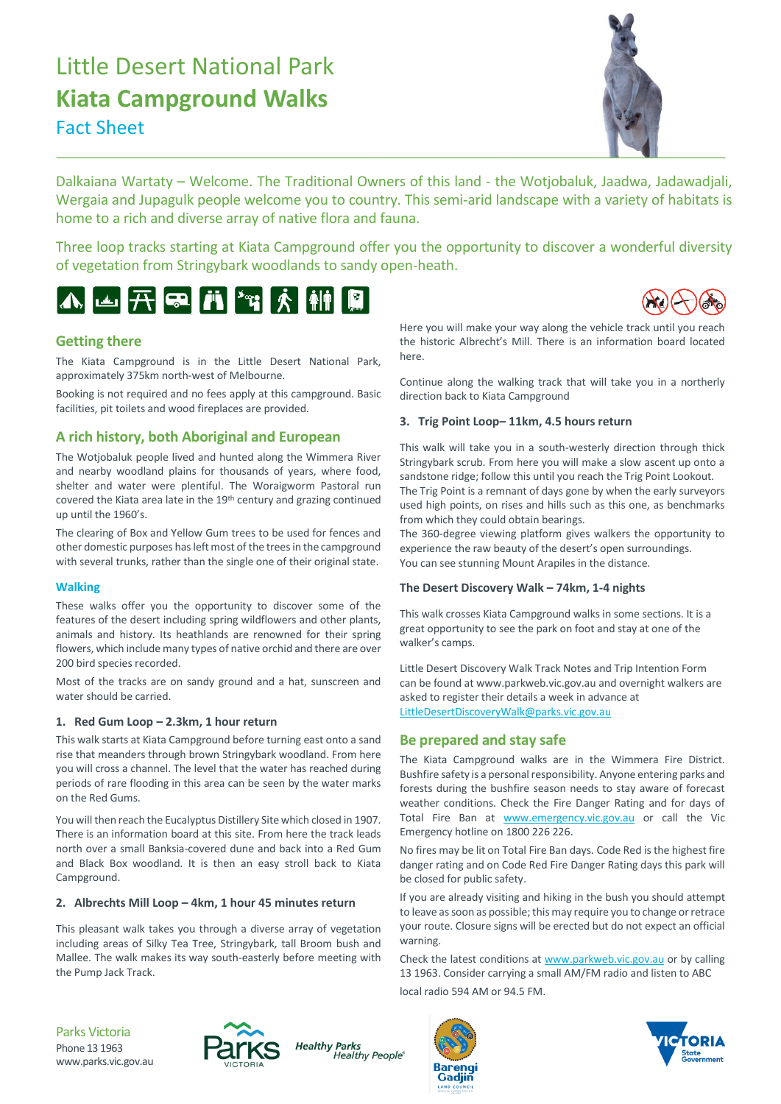# Little Desert National Park **Kiata Campground Walks** Fact Sheet



Dalkaiana Wartaty – Welcome. The Traditional Owners of this land - the Wotjobaluk, Jaadwa, Jadawadjali, Wergaia and Jupagulk people welcome you to country. This semi-arid landscape with a variety of habitats is home to a rich and diverse array of native flora and fauna.

Three loop tracks starting at Kiata Campground offer you the opportunity to discover a wonderful diversity of vegetation from Stringybark woodlands to sandy open-heath.





# **Getting there**

The Kiata Campground is in the Little Desert National Park, approximately 375km north-west of Melbourne.

Booking is not required and no fees apply at this campground. Basic facilities, pit toilets and wood fireplaces are provided.

# **A rich history, both Aboriginal and European**

The Wotiobaluk people lived and hunted along the Wimmera River and nearby woodland plains for thousands of years, where food, shelter and water were plentiful. The Woraigworm Pastoral run covered the Kiata area late in the 19th century and grazing continued up until the 1960's.

The clearing of Box and Yellow Gum trees to be used for fences and other domestic purposes has left most of the trees in the campground with several trunks, rather than the single one of their original state.

### **Walking**

These walks offer you the opportunity to discover some of the features of the desert including spring wildflowers and other plants, animals and history. Its heathlands are renowned for their spring flowers, which include many types of native orchid and there are over 200 bird species recorded.

Most of the tracks are on sandy ground and a hat, sunscreen and water should be carried.

#### **1. Red Gum Loop – 2.3km, 1 hour return**

This walk starts at Kiata Campground before turning east onto a sand rise that meanders through brown Stringybark woodland. From here you will cross a channel. The level that the water has reached during periods of rare flooding in this area can be seen by the water marks on the Red Gums.

You will then reach the Eucalyptus Distillery Site which closed in 1907. There is an information board at this site. From here the track leads north over a small Banksia-covered dune and back into a Red Gum and Black Box woodland. It is then an easy stroll back to Kiata Campground.

#### **2. Albrechts Mill Loop – 4km, 1 hour 45 minutes return**

This pleasant walk takes you through a diverse array of vegetation including areas of Silky Tea Tree, Stringybark, tall Broom bush and Mallee. The walk makes its way south-easterly before meeting with the Pump Jack Track.

Here you will make your way along the vehicle track until you reach the historic Albrecht's Mill. There is an information board located here.

Continue along the walking track that will take you in a northerly direction back to Kiata Campground

#### **3. Trig Point Loop– 11km, 4.5 hours return**

This walk will take you in a south-westerly direction through thick Stringybark scrub. From here you will make a slow ascent up onto a sandstone ridge; follow this until you reach the Trig Point Lookout. The Trig Point is a remnant of days gone by when the early surveyors used high points, on rises and hills such as this one, as benchmarks from which they could obtain bearings.

The 360-degree viewing platform gives walkers the opportunity to experience the raw beauty of the desert's open surroundings. You can see stunning Mount Arapiles in the distance.

### **The Desert Discovery Walk – 74km, 1-4 nights**

This walk crosses Kiata Campground walks in some sections. It is a great opportunity to see the park on foot and stay at one of the walker's camps.

Little Desert Discovery Walk Track Notes and Trip Intention Form can be found at www.parkweb.vic.gov.au and overnight walkers are asked to register their details a week in advance at [LittleDesertDiscoveryWalk@parks.vic.gov.au](mailto:LittleDesertDiscoveryWalk@parks.vic.gov.au)

# **Be prepared and stay safe**

The Kiata Campground walks are in the Wimmera Fire District. Bushfire safety is a personal responsibility. Anyone entering parks and forests during the bushfire season needs to stay aware of forecast weather conditions. Check the Fire Danger Rating and for days of Total Fire Ban at [www.emergency.vic.gov.au](http://www.emergency.vic.gov.au/) or call the Vic Emergency hotline on 1800 226 226.

No fires may be lit on Total Fire Ban days. Code Red is the highest fire danger rating and on Code Red Fire Danger Rating days this park will be closed for public safety.

If you are already visiting and hiking in the bush you should attempt to leave as soon as possible; this may require you to change or retrace your route. Closure signs will be erected but do not expect an official warning.

Check the latest conditions at [www.parkweb.vic.gov.au](http://www.parkweb.vic.gov.au/) or by calling 13 1963. Consider carrying a small AM/FM radio and listen to ABC local radio 594 AM or 94.5 FM.

Parks Victoria Phone 13 1963 www.parks.vic.gov.au